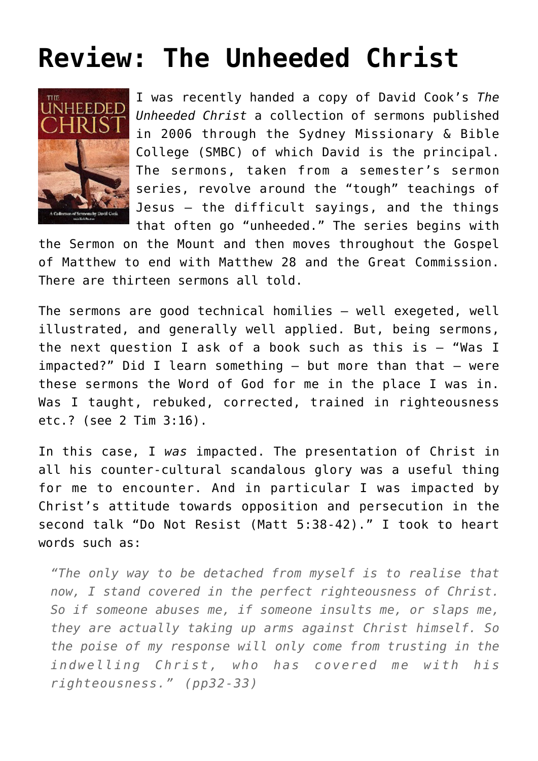## **[Review: The Unheeded Christ](https://briggs.id.au/jour/2008/07/the-unheeded-christ-review/)**



I was recently handed a copy of David Cook's *[The](http://www.moorebooks.com.au/?page=shop/flypage&product_id=5315012&keyword=cook+d&searchby=author&offset=0&fs=1&CLSN_1518=121491399515183acb717e2a82321f14) [Unheeded Christ](http://www.moorebooks.com.au/?page=shop/flypage&product_id=5315012&keyword=cook+d&searchby=author&offset=0&fs=1&CLSN_1518=121491399515183acb717e2a82321f14)* a collection of sermons published in 2006 through the Sydney Missionary & Bible College (SMBC) of which David is the principal. The sermons, taken from a semester's sermon series, revolve around the "tough" teachings of Jesus – the difficult sayings, and the things that often go "unheeded." The series begins with

the Sermon on the Mount and then moves throughout the Gospel of Matthew to end with Matthew 28 and the Great Commission. There are thirteen sermons all told.

The sermons are good technical homilies – well exegeted, well illustrated, and generally well applied. But, being sermons, the next question I ask of a book such as this is  $-$  "Was I impacted?" Did I learn something  $-$  but more than that  $-$  were these sermons the Word of God for me in the place I was in. Was I taught, rebuked, corrected, trained in righteousness etc.? (see [2 Tim 3:16](http://www.biblegateway.com/passage/?search=2%20timothy%203:16)).

In this case, I *was* impacted. The presentation of Christ in all his counter-cultural scandalous glory was a useful thing for me to encounter. And in particular I was impacted by Christ's attitude towards opposition and persecution in the second talk "Do Not Resist (Matt 5:38-42)." I took to heart words such as:

*"The only way to be detached from myself is to realise that now, I stand covered in the perfect righteousness of Christ. So if someone abuses me, if someone insults me, or slaps me, they are actually taking up arms against Christ himself. So the poise of my response will only come from trusting in the indwelling Christ, who has covered me with his righteousness." (pp32-33)*